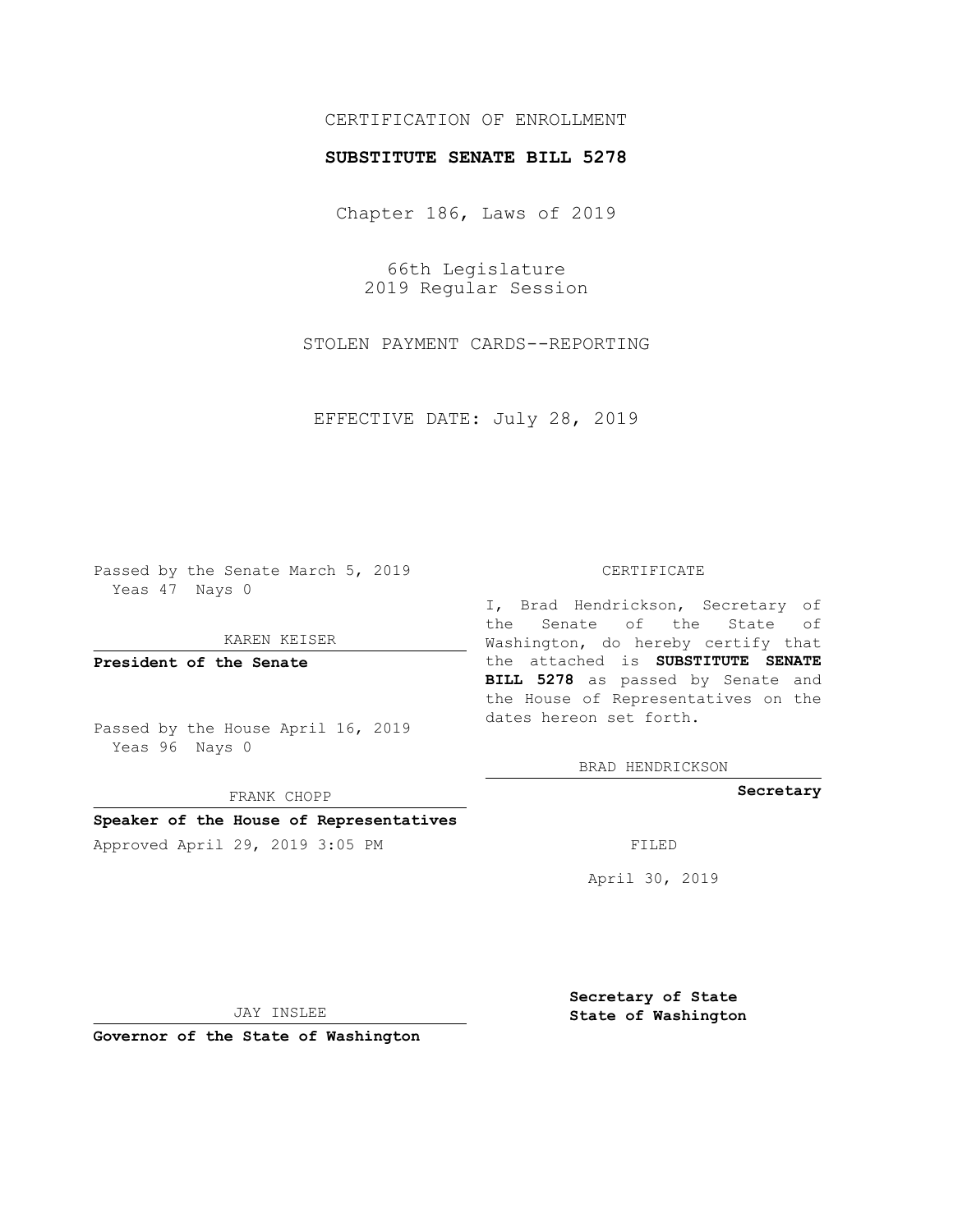## CERTIFICATION OF ENROLLMENT

## **SUBSTITUTE SENATE BILL 5278**

Chapter 186, Laws of 2019

66th Legislature 2019 Regular Session

STOLEN PAYMENT CARDS--REPORTING

EFFECTIVE DATE: July 28, 2019

Passed by the Senate March 5, 2019 Yeas 47 Nays 0

KAREN KEISER

**President of the Senate**

Passed by the House April 16, 2019 Yeas 96 Nays 0

FRANK CHOPP

# **Speaker of the House of Representatives**

Approved April 29, 2019 3:05 PM FILED

#### CERTIFICATE

I, Brad Hendrickson, Secretary of the Senate of the State of Washington, do hereby certify that the attached is **SUBSTITUTE SENATE BILL 5278** as passed by Senate and the House of Representatives on the dates hereon set forth.

BRAD HENDRICKSON

**Secretary**

April 30, 2019

JAY INSLEE

**Governor of the State of Washington**

**Secretary of State State of Washington**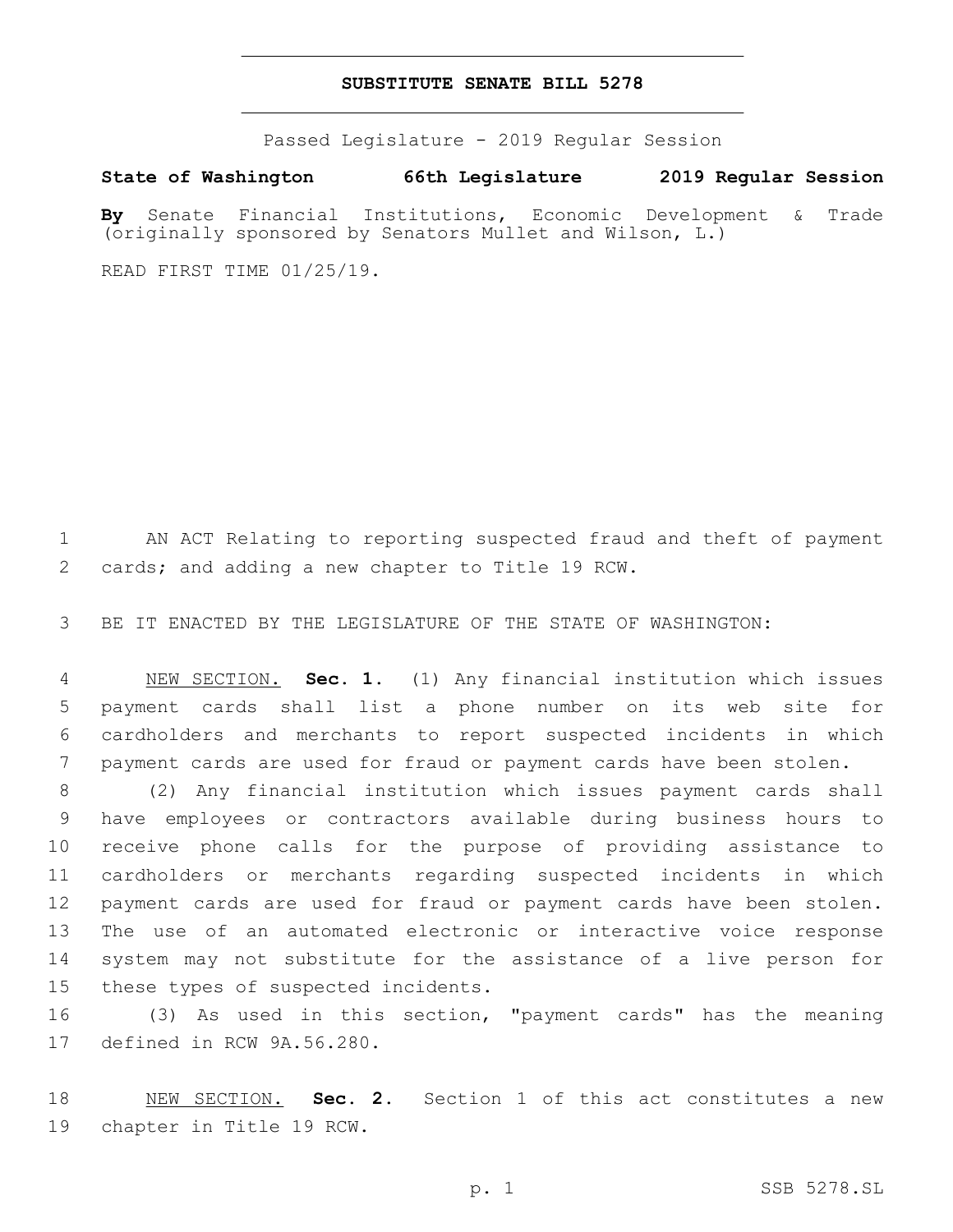### **SUBSTITUTE SENATE BILL 5278**

Passed Legislature - 2019 Regular Session

**State of Washington 66th Legislature 2019 Regular Session**

**By** Senate Financial Institutions, Economic Development & Trade (originally sponsored by Senators Mullet and Wilson, L.)

READ FIRST TIME 01/25/19.

 AN ACT Relating to reporting suspected fraud and theft of payment 2 cards; and adding a new chapter to Title 19 RCW.

BE IT ENACTED BY THE LEGISLATURE OF THE STATE OF WASHINGTON:

 NEW SECTION. **Sec. 1.** (1) Any financial institution which issues payment cards shall list a phone number on its web site for cardholders and merchants to report suspected incidents in which payment cards are used for fraud or payment cards have been stolen.

 (2) Any financial institution which issues payment cards shall have employees or contractors available during business hours to receive phone calls for the purpose of providing assistance to cardholders or merchants regarding suspected incidents in which payment cards are used for fraud or payment cards have been stolen. The use of an automated electronic or interactive voice response system may not substitute for the assistance of a live person for 15 these types of suspected incidents.

 (3) As used in this section, "payment cards" has the meaning 17 defined in RCW 9A.56.280.

 NEW SECTION. **Sec. 2.** Section 1 of this act constitutes a new chapter in Title 19 RCW.